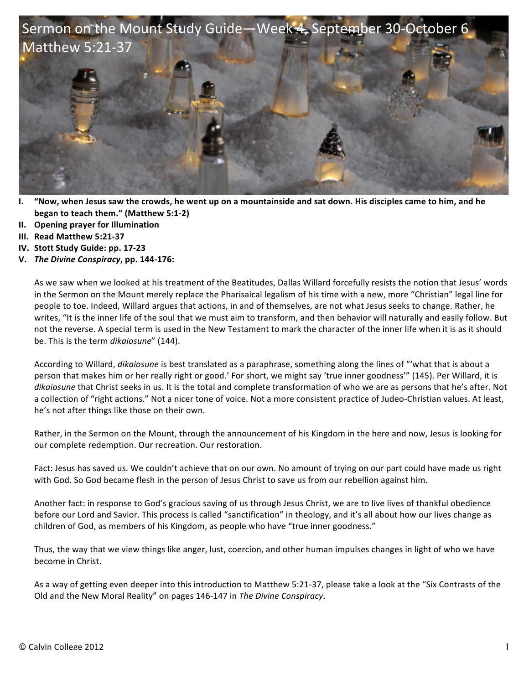

- **I.** "Now, when Jesus saw the crowds, he went up on a mountainside and sat down. His disciples came to him, and he **began to teach them."** (Matthew 5:1-2)
- **II. Opening prayer for Illumination**
- **III. Read Matthew 5:21-37**
- **IV.** Stott Study Guide: pp. 17-23
- **V.** *The Divine Conspiracy***, pp. 144-176:**

As we saw when we looked at his treatment of the Beatitudes, Dallas Willard forcefully resists the notion that Jesus' words in the Sermon on the Mount merely replace the Pharisaical legalism of his time with a new, more "Christian" legal line for people to toe. Indeed, Willard argues that actions, in and of themselves, are not what Jesus seeks to change. Rather, he writes, "It is the inner life of the soul that we must aim to transform, and then behavior will naturally and easily follow. But not the reverse. A special term is used in the New Testament to mark the character of the inner life when it is as it should be. This is the term *dikaiosune"* (144).

According to Willard, *dikaiosune* is best translated as a paraphrase, something along the lines of "'what that is about a person that makes him or her really right or good.' For short, we might say 'true inner goodness'" (145). Per Willard, it is *dikaiosune* that Christ seeks in us. It is the total and complete transformation of who we are as persons that he's after. Not a collection of "right actions." Not a nicer tone of voice. Not a more consistent practice of Judeo-Christian values. At least, he's not after things like those on their own.

Rather, in the Sermon on the Mount, through the announcement of his Kingdom in the here and now, Jesus is looking for our complete redemption. Our recreation. Our restoration.

Fact: Jesus has saved us. We couldn't achieve that on our own. No amount of trying on our part could have made us right with God. So God became flesh in the person of Jesus Christ to save us from our rebellion against him.

Another fact: in response to God's gracious saving of us through Jesus Christ, we are to live lives of thankful obedience before our Lord and Savior. This process is called "sanctification" in theology, and it's all about how our lives change as children of God, as members of his Kingdom, as people who have "true inner goodness."

Thus, the way that we view things like anger, lust, coercion, and other human impulses changes in light of who we have become in Christ.

As a way of getting even deeper into this introduction to Matthew 5:21-37, please take a look at the "Six Contrasts of the Old and the New Moral Reality" on pages 146-147 in The Divine Conspiracy.